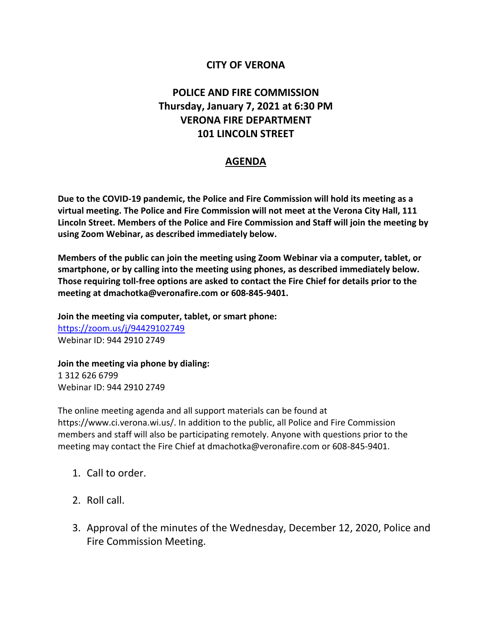## **CITY OF VERONA**

## **POLICE AND FIRE COMMISSION Thursday, January 7, 2021 at 6:30 PM VERONA FIRE DEPARTMENT 101 LINCOLN STREET**

## **AGENDA**

**Due to the COVID-19 pandemic, the Police and Fire Commission will hold its meeting as a virtual meeting. The Police and Fire Commission will not meet at the Verona City Hall, 111 Lincoln Street. Members of the Police and Fire Commission and Staff will join the meeting by using Zoom Webinar, as described immediately below.** 

**Members of the public can join the meeting using Zoom Webinar via a computer, tablet, or smartphone, or by calling into the meeting using phones, as described immediately below. Those requiring toll-free options are asked to contact the Fire Chief for details prior to the meeting at dmachotka@veronafire.com or 608-845-9401.**

**Join the meeting via computer, tablet, or smart phone:**  <https://zoom.us/j/94429102749> Webinar ID: 944 2910 2749

**Join the meeting via phone by dialing:**  1 312 626 6799 Webinar ID: 944 2910 2749

The online meeting agenda and all support materials can be found at https://www.ci.verona.wi.us/. In addition to the public, all Police and Fire Commission members and staff will also be participating remotely. Anyone with questions prior to the meeting may contact the Fire Chief at dmachotka@veronafire.com or 608-845-9401.

- 1. Call to order.
- 2. Roll call.
- 3. Approval of the minutes of the Wednesday, December 12, 2020, Police and Fire Commission Meeting.